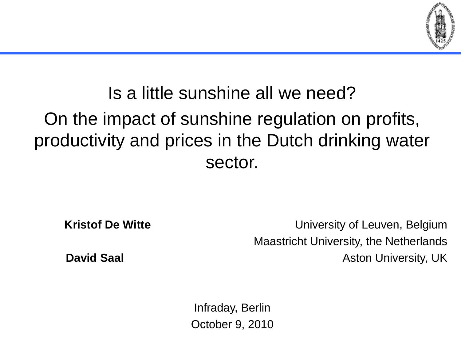

## Is a little sunshine all we need? On the impact of sunshine regulation on profits, productivity and prices in the Dutch drinking water sector.

**Kristof De Witte Kristof De Witte University of Leuven, Belgium** Maastricht University, the Netherlands **David Saal David Saal Aston University, UK Aston University, UK** 

Infraday, Berlin October 9, 2010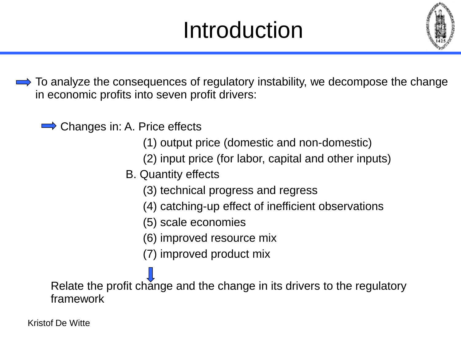# Introduction



 $\implies$  To analyze the consequences of regulatory instability, we decompose the change in economic profits into seven profit drivers:

Changes in: A. Price effects

- (1) output price (domestic and non-domestic)
- (2) input price (for labor, capital and other inputs)
- B. Quantity effects
	- (3) technical progress and regress
	- (4) catching-up effect of inefficient observations
	- (5) scale economies
	- (6) improved resource mix
	- (7) improved product mix

Relate the profit change and the change in its drivers to the regulatory framework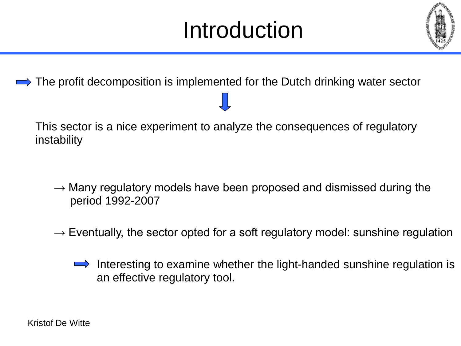# Introduction



The profit decomposition is implemented for the Dutch drinking water sector

This sector is a nice experiment to analyze the consequences of regulatory instability

- $\rightarrow$  Many regulatory models have been proposed and dismissed during the period 1992-2007
- $\rightarrow$  Eventually, the sector opted for a soft regulatory model: sunshine regulation
	- Interesting to examine whether the light-handed sunshine regulation is an effective regulatory tool.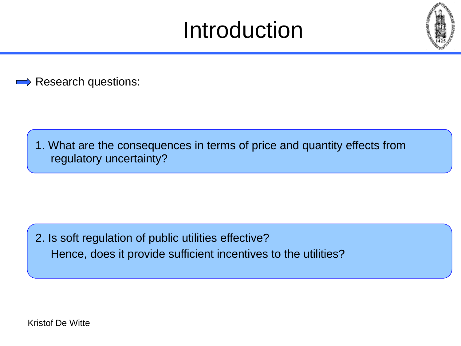## Introduction



Research questions:

1. What are the consequences in terms of price and quantity effects from regulatory uncertainty?

2. Is soft regulation of public utilities effective? Hence, does it provide sufficient incentives to the utilities?

Kristof De Witte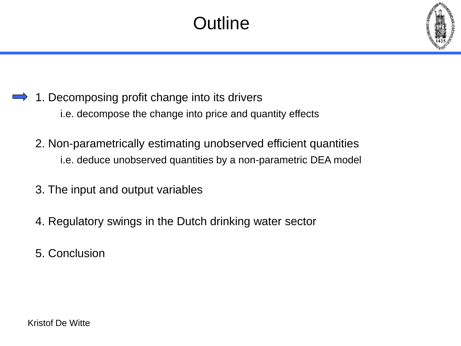### **Outline**



- 1. Decomposing profit change into its drivers i.e. decompose the change into price and quantity effects
	- 2. Non-parametrically estimating unobserved efficient quantities i.e. deduce unobserved quantities by a non-parametric DEA model
	- 3. The input and output variables
	- 4. Regulatory swings in the Dutch drinking water sector
	- 5. Conclusion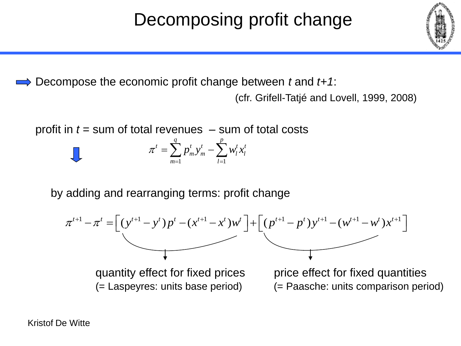#### Decompose the economic profit change between *t* and *t+1*:

(cfr. Grifell-Tatjé and Lovell, 1999, 2008)

profit in  $t =$  sum of total revenues  $-$  sum of total costs

$$
\pi^{t} = \sum_{m=1}^{q} p_{m}^{t} y_{m}^{t} - \sum_{l=1}^{p} w_{l}^{t} x_{l}^{t}
$$

by adding and rearranging terms: profit change



(= Laspeyres: units base period) (= Paasche: units comparison period)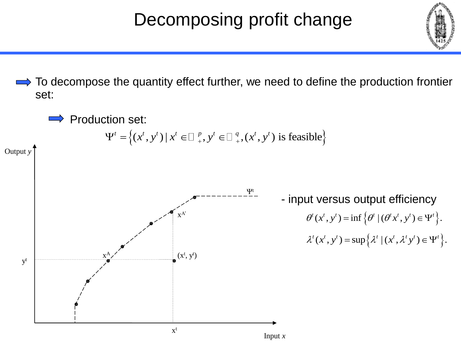

To decompose the quantity effect further, we need to define the production frontier set:

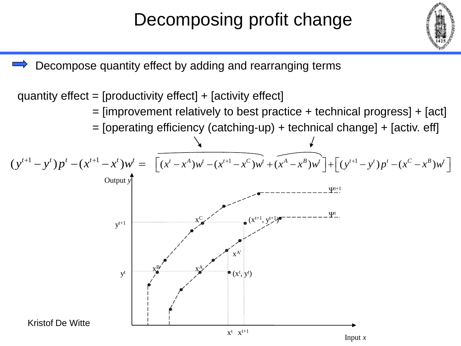

Decompose quantity effect by adding and rearranging terms

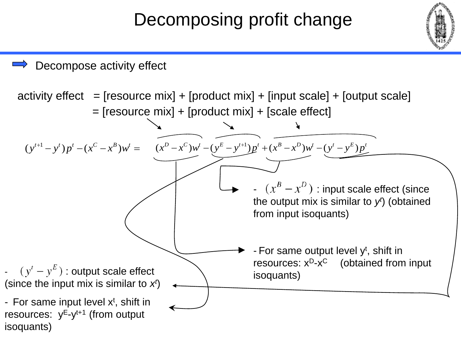Decompose activity effect

isoquants) activity effect  $=$  [resource mix] + [product mix] + [input scale] + [output scale] = [resource mix] + [product mix] + [scale effect] 1  $(y^{t+1} - y^t) p^t - (x^C - x^B) w^t$  $^{+}$  $(y^{t}) p^{t} - (x^{C} - x^{B}) w^{t} =$ 1  $(x^{D}-x^{C})w^{t}-(y^{E}-y^{t+1})p^{t}+(x^{B}-x^{D})w^{t}-(y^{t}-y^{E})p^{t}$  $^{+}$  $-x^c$ ) $w^t$  -  $(y^E - y^{t+1})p^t$  +  $(x^B - x^D)w^t$  -  $(y^t - y^E)p^t$ -  $(x^B - x^D)$  : input scale effect (since the output mix is similar to  $y^i$ ) (obtained from input isoquants) - For same output level y<sup>t</sup>, shift in resources: x<sup>D</sup>-x<sup>C</sup> (obtained from input  $(y' - y^E)$ : output scale effect<br>isoquants) (since the input mix is similar to  $x<sup>t</sup>$ ) - For same input level  $x<sup>t</sup>$ , shift in resources: y<sup>E</sup>-y<sup>t+1</sup> (from output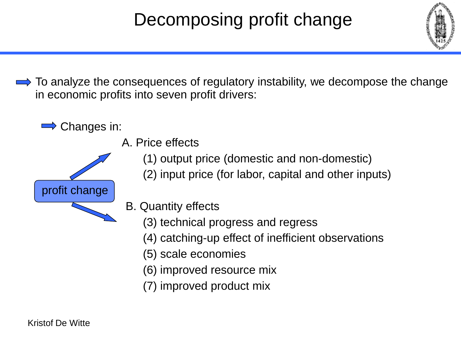

 $\implies$  To analyze the consequences of regulatory instability, we decompose the change in economic profits into seven profit drivers:





- A. Price effects
	- (1) output price (domestic and non-domestic)
	- (2) input price (for labor, capital and other inputs)
- B. Quantity effects
	- (3) technical progress and regress
	- (4) catching-up effect of inefficient observations
	- (5) scale economies
	- (6) improved resource mix
	- (7) improved product mix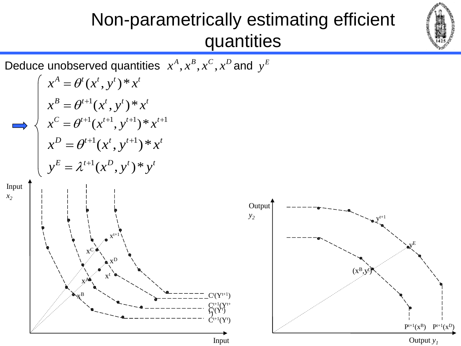

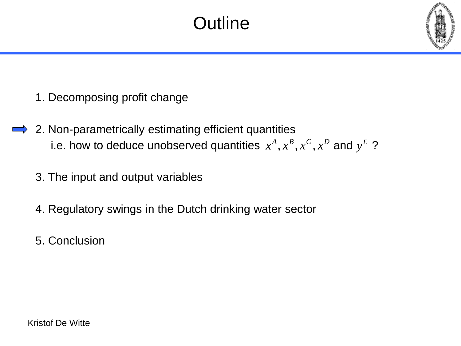#### **Outline**



- 1. Decomposing profit change
- 2. Non-parametrically estimating efficient quantities i.e. how to deduce unobserved quantities  $x^A, x^B, x^C, x^D$  and  $y^E$  ?
	- 3. The input and output variables
	- 4. Regulatory swings in the Dutch drinking water sector
	- 5. Conclusion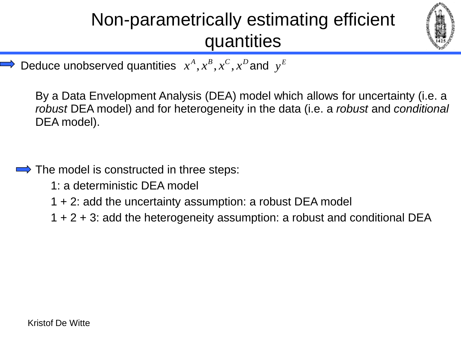

 $\Rightarrow$  Deduce unobserved quantities  $x^A, x^B, x^C, x^D$  and  $y^E$ 

By a Data Envelopment Analysis (DEA) model which allows for uncertainty (i.e. a *robust* DEA model) and for heterogeneity in the data (i.e. a *robust* and *conditional* DEA model).

- $\implies$  The model is constructed in three steps:
	- 1: a deterministic DEA model
	- 1 + 2: add the uncertainty assumption: a robust DEA model
	- 1 + 2 + 3: add the heterogeneity assumption: a robust and conditional DEA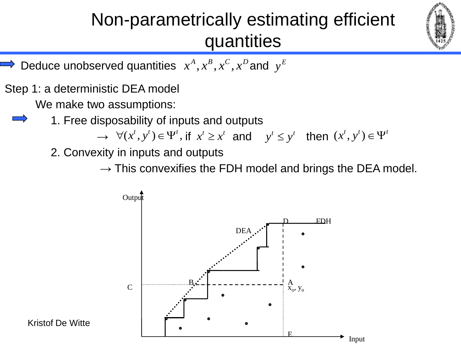

- $\Rightarrow$  Deduce unobserved quantities  $x^A, x^B, x^C, x^D$  and  $y^E$
- Step 1: a deterministic DEA model

We make two assumptions:

1. Free disposability of inputs and outputs

 $\forall (x^t, y^t) \in \Psi^t$ , if  $x^t \ge x^t$  and  $y^t \le y^t$  then  $(x^t, y^t) \in \Psi^t$ 

2. Convexity in inputs and outputs

 $\rightarrow$  This convexifies the FDH model and brings the DEA model.



Kristof De Witte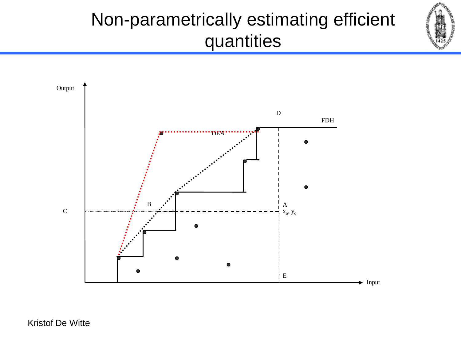



Kristof De Witte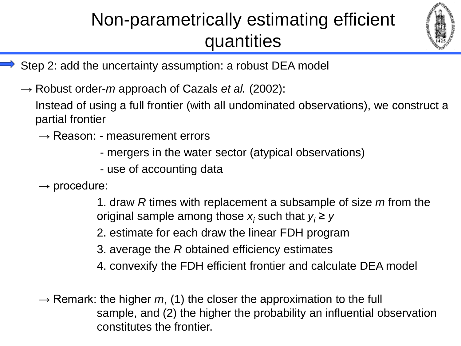

- Step 2: add the uncertainty assumption: a robust DEA model
	- → Robust order-*m* approach of Cazals *et al.* (2002):

Instead of using a full frontier (with all undominated observations), we construct a partial frontier

- $\rightarrow$  Reason: measurement errors
	- mergers in the water sector (atypical observations)
	- use of accounting data
- $\rightarrow$  procedure:

1. draw *R* times with replacement a subsample of size *m* from the original sample among those  $x_i$  such that  $y_i \geq y$ 

- 2. estimate for each draw the linear FDH program
- 3. average the *R* obtained efficiency estimates
- 4. convexify the FDH efficient frontier and calculate DEA model

 $\rightarrow$  Remark: the higher m, (1) the closer the approximation to the full sample, and (2) the higher the probability an influential observation constitutes the frontier.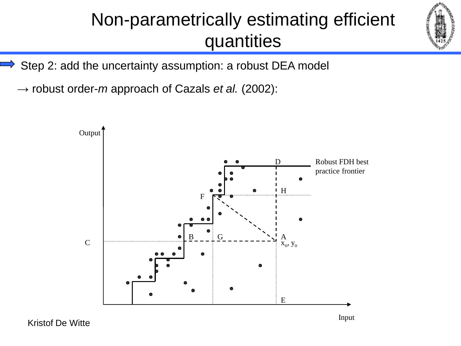

Step 2: add the uncertainty assumption: a robust DEA model

→ robust order-*m* approach of Cazals *et al.* (2002):



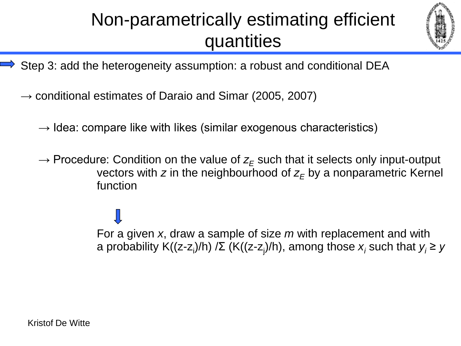

- Step 3: add the heterogeneity assumption: a robust and conditional DEA
	- $\rightarrow$  conditional estimates of Daraio and Simar (2005, 2007)
		- $\rightarrow$  Idea: compare like with likes (similar exogenous characteristics)
		- $\rightarrow$  Procedure: Condition on the value of  $z_F$  such that it selects only input-output vectors with  $z$  in the neighbourhood of  $z<sub>F</sub>$  by a nonparametric Kernel function

For a given *x*, draw a sample of size *m* with replacement and with a probability K((z-z<sup>i</sup> )/h) /Σ (K((z-z<sup>j</sup> )/h), among those *x<sup>i</sup>* such that *y<sup>i</sup> ≥ y*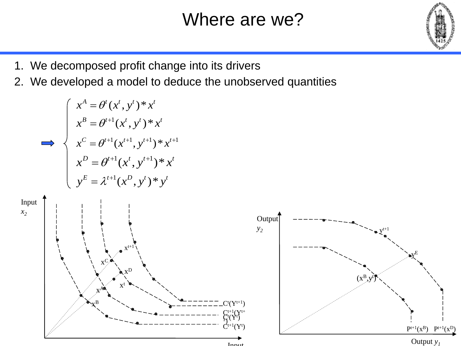#### Where are we?



- 1. We decomposed profit change into its drivers
- 2. We developed a model to deduce the unobserved quantities

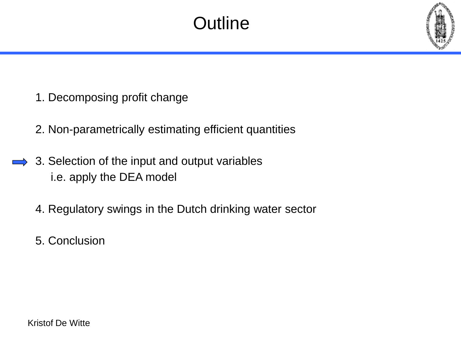#### **Outline**

- 1. Decomposing profit change
- 2. Non-parametrically estimating efficient quantities
- 3. Selection of the input and output variables i.e. apply the DEA model
	- 4. Regulatory swings in the Dutch drinking water sector
	- 5. Conclusion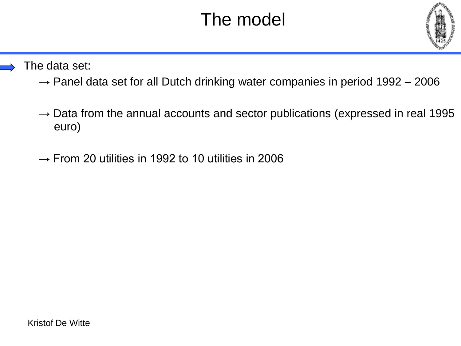

#### The data set:

- $\rightarrow$  Panel data set for all Dutch drinking water companies in period 1992 2006
- $\rightarrow$  Data from the annual accounts and sector publications (expressed in real 1995 euro)
- $\rightarrow$  From 20 utilities in 1992 to 10 utilities in 2006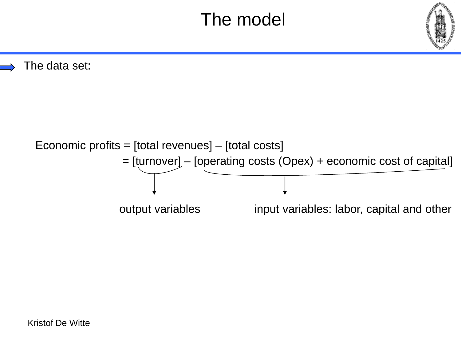The data set:

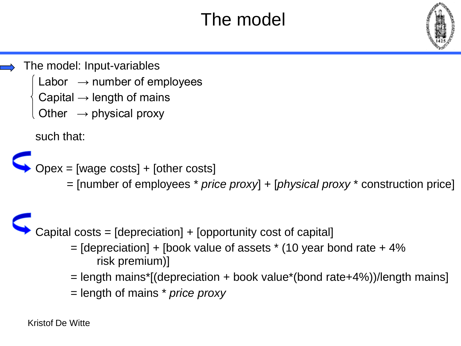The model: Input-variables

- Labor  $\rightarrow$  number of employees
- Capital  $\rightarrow$  length of mains
- Other  $\rightarrow$  physical proxy

such that:

 $Opex = [wage costs] + [other costs]$ 

= [number of employees \* *price proxy*] + [*physical proxy* \* construction price]

#### Capital costs = [depreciation] + [opportunity cost of capital]

- $=$  [depreciation] + [book value of assets  $*$  (10 year bond rate + 4% risk premium)]
- = length mains\*[(depreciation + book value\*(bond rate+4%))/length mains]
- = length of mains \* *price proxy*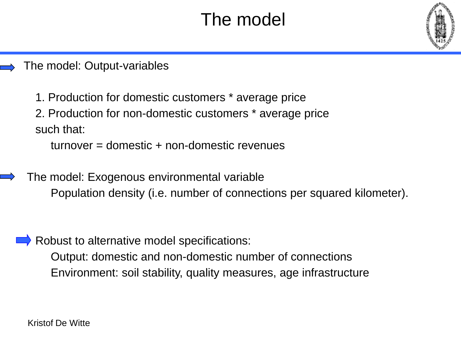

1. Production for domestic customers \* average price

2. Production for non-domestic customers \* average price such that:

turnover = domestic + non-domestic revenues

 The model: Exogenous environmental variable Population density (i.e. number of connections per squared kilometer).

Robust to alternative model specifications:

Output: domestic and non-domestic number of connections Environment: soil stability, quality measures, age infrastructure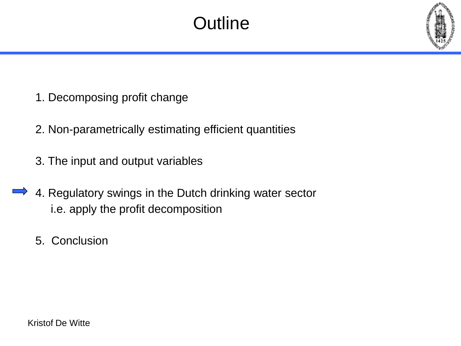#### **Outline**

- 1. Decomposing profit change
- 2. Non-parametrically estimating efficient quantities
- 3. The input and output variables
- 4. Regulatory swings in the Dutch drinking water sector i.e. apply the profit decomposition
	- 5. Conclusion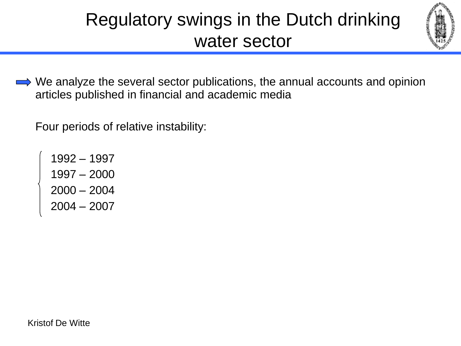

 $\implies$  We analyze the several sector publications, the annual accounts and opinion articles published in financial and academic media

Four periods of relative instability:

1992 – 1997 1997 – 2000 2000 – 2004 2004 – 2007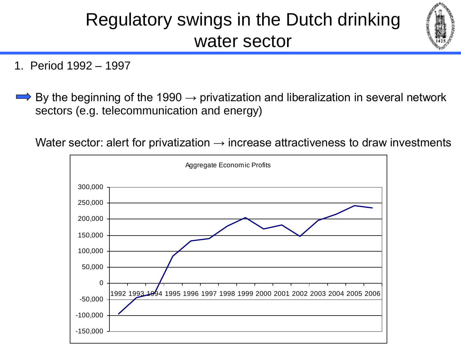

- 1. Period 1992 1997
- By the beginning of the 1990  $\rightarrow$  privatization and liberalization in several network sectors (e.g. telecommunication and energy)

Water sector: alert for privatization  $\rightarrow$  increase attractiveness to draw investments

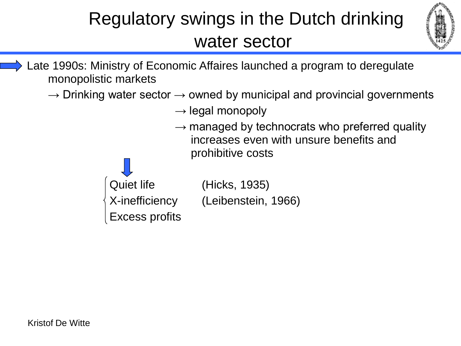

 Late 1990s: Ministry of Economic Affaires launched a program to deregulate monopolistic markets

 $\rightarrow$  Drinking water sector  $\rightarrow$  owned by municipal and provincial governments

- $\rightarrow$  legal monopoly
- $\rightarrow$  managed by technocrats who preferred quality increases even with unsure benefits and prohibitive costs



X-inefficiency (Leibenstein, 1966)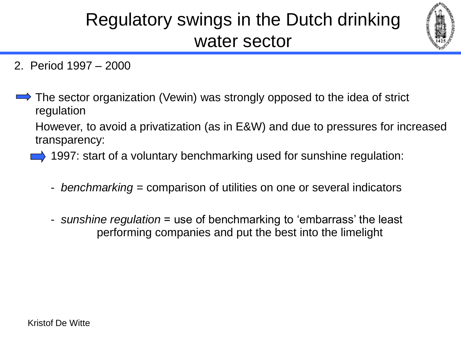

- 2. Period 1997 2000
- $\Rightarrow$  The sector organization (Vewin) was strongly opposed to the idea of strict regulation

However, to avoid a privatization (as in E&W) and due to pressures for increased transparency:

 $\implies$  1997: start of a voluntary benchmarking used for sunshine regulation:

- *benchmarking* = comparison of utilities on one or several indicators
- *sunshine regulation* = use of benchmarking to 'embarrass' the least performing companies and put the best into the limelight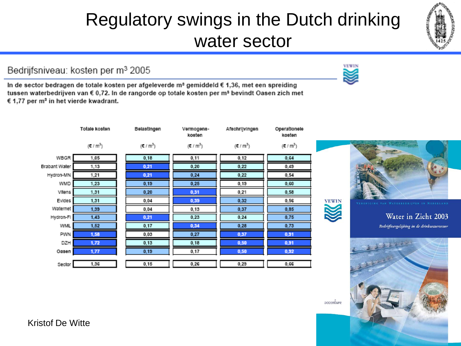Bedrijfsniveau: kosten per m<sup>3</sup> 2005

In de sector bedragen de totale kosten per afgeleverde m<sup>3</sup> gemiddeld  $\epsilon$  1,36, met een spreiding tussen waterbedrijven van € 0,72. In de rangorde op totale kosten per m<sup>s</sup> bevindt Oasen zich met € 1,77 per m<sup>3</sup> in het vierde kwadrant.

|               | Totale kosten                 | Belastingen | Vermogens-<br>kosten | Afschrijvingen   | Operationele<br>kosten |
|---------------|-------------------------------|-------------|----------------------|------------------|------------------------|
|               | $(\mathbf{E} / \mathbf{m}^3)$ | $(E/m^3)$   | $(E/m^3)$            | $(\epsilon/m^3)$ | $(\epsilon / m^3)$     |
| WBGR          | 1,05                          | 0,18        | 0,11                 | 0,12             | 0,64                   |
| Brabant Water | 1,13                          | 0,21        | 0,20                 | 0,22             | 0,49                   |
| Hydron-MN     | 1,21                          | 0,21        | 0,24                 | 0,22             | 0,54                   |
| WMD           | 1,23                          | 0,19        | 0,25                 | 0,19             | 0,60                   |
| Vitens        | 1,31                          | 0,20        | 0,31                 | 0,21             | 0,58                   |
| Evides        | 1,31                          | 0,04        | 0,39                 | 0,32             | 0,56                   |
| Waternet      | 1,39                          | 0,04        | 0,13                 | 0,37             | 0,85                   |
| Hydron-Fl     | 1,43                          | 0,21        | 0.23                 | 0.24             | 0,75                   |
| WML           | 1,52                          | 0,17        | 0,34                 | 0,28             | 0,73                   |
| PWN           | 1,58                          | 0,03        | 0,27                 | 0,37             | 0,31                   |
| DZH           | 1,72                          | 0,13        | 0,18                 | 0,50             | 0,31                   |
| Oasen         | 1, 77                         | 0,19        | 0,17                 | 0,50             | 0,32                   |
| Sector        | 1,36                          | 0,15        | 0,26                 | 0,29             | 0,66                   |







accenture



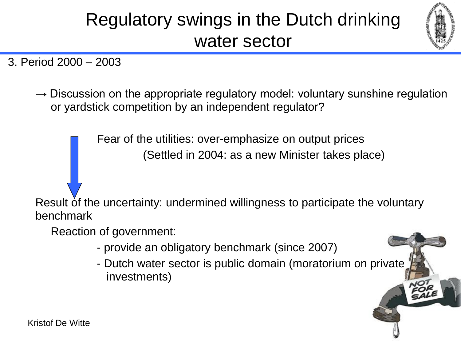

3. Period 2000 – 2003

 $\rightarrow$  Discussion on the appropriate regulatory model: voluntary sunshine regulation or yardstick competition by an independent regulator?

> Fear of the utilities: over-emphasize on output prices (Settled in 2004: as a new Minister takes place)

Result of the uncertainty: undermined willingness to participate the voluntary benchmark

Reaction of government:

- provide an obligatory benchmark (since 2007)
- Dutch water sector is public domain (moratorium on private investments)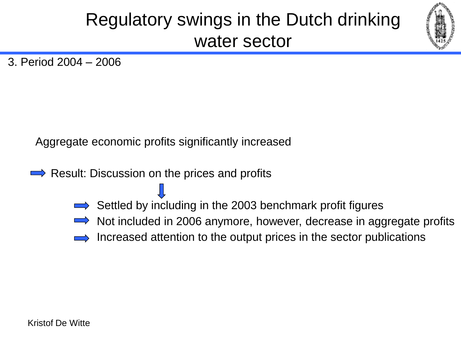

3. Period 2004 – 2006

Aggregate economic profits significantly increased

- $\rightarrow$  Result: Discussion on the prices and profits
	- $\Rightarrow$  Settled by including in the 2003 benchmark profit figures
	- Not included in 2006 anymore, however, decrease in aggregate profits
	- Increased attention to the output prices in the sector publications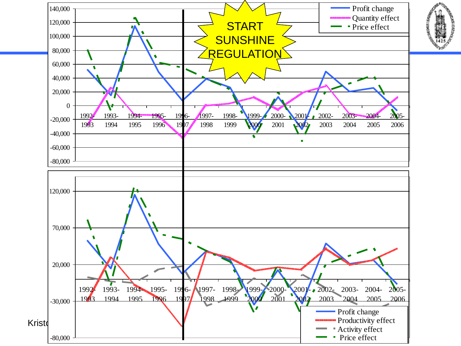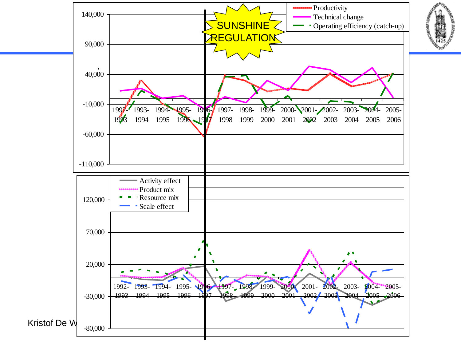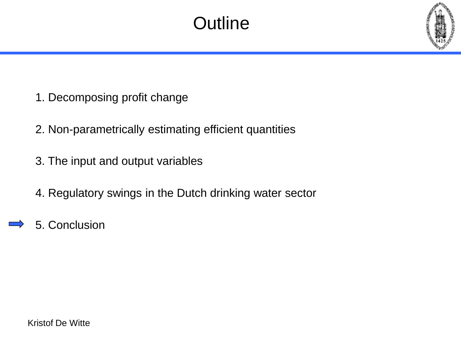#### **Outline**

- 1. Decomposing profit change
- 2. Non-parametrically estimating efficient quantities
- 3. The input and output variables
- 4. Regulatory swings in the Dutch drinking water sector
- 5. Conclusion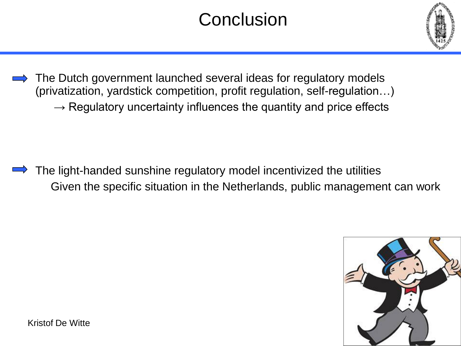#### **Conclusion**



The Dutch government launched several ideas for regulatory models (privatization, yardstick competition, profit regulation, self-regulation…)  $\rightarrow$  Regulatory uncertainty influences the quantity and price effects

The light-handed sunshine regulatory model incentivized the utilities Given the specific situation in the Netherlands, public management can work



Kristof De Witte